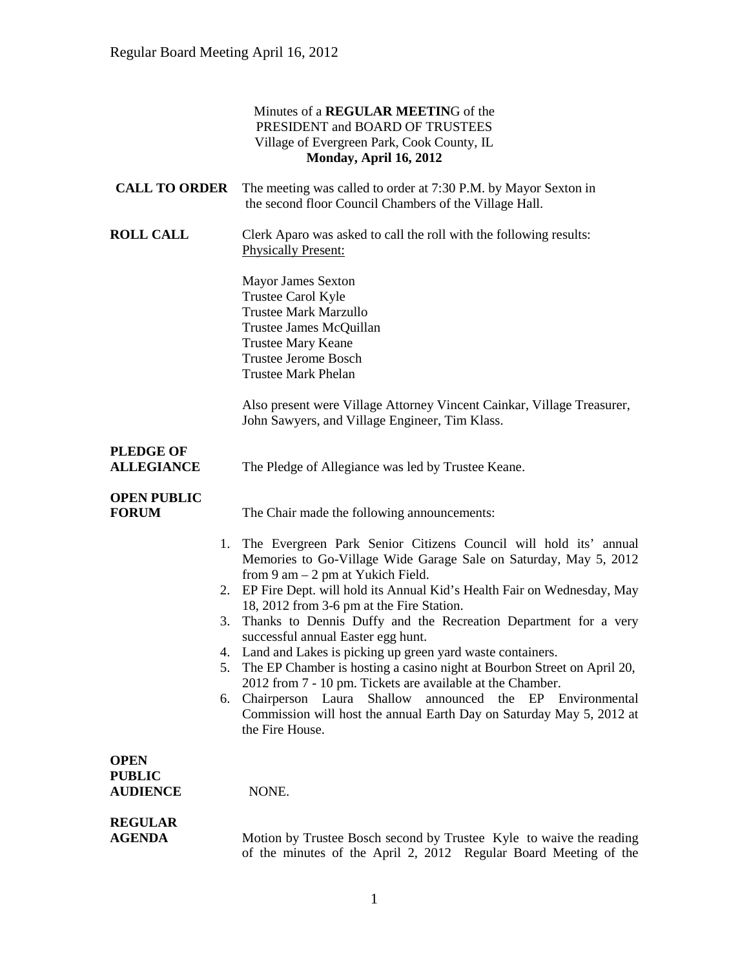### Minutes of a **REGULAR MEETIN**G of the PRESIDENT and BOARD OF TRUSTEES Village of Evergreen Park, Cook County, IL **Monday, April 16, 2012**

| <b>CALL TO ORDER</b>                            | The meeting was called to order at 7:30 P.M. by Mayor Sexton in<br>the second floor Council Chambers of the Village Hall.                                                                                                                                                                                                                                                                                                                                                                                                                                                                                                                                                                                                                                                                   |
|-------------------------------------------------|---------------------------------------------------------------------------------------------------------------------------------------------------------------------------------------------------------------------------------------------------------------------------------------------------------------------------------------------------------------------------------------------------------------------------------------------------------------------------------------------------------------------------------------------------------------------------------------------------------------------------------------------------------------------------------------------------------------------------------------------------------------------------------------------|
| <b>ROLL CALL</b>                                | Clerk Aparo was asked to call the roll with the following results:<br><b>Physically Present:</b>                                                                                                                                                                                                                                                                                                                                                                                                                                                                                                                                                                                                                                                                                            |
|                                                 | Mayor James Sexton<br>Trustee Carol Kyle<br><b>Trustee Mark Marzullo</b><br>Trustee James McQuillan<br><b>Trustee Mary Keane</b><br><b>Trustee Jerome Bosch</b><br><b>Trustee Mark Phelan</b>                                                                                                                                                                                                                                                                                                                                                                                                                                                                                                                                                                                               |
|                                                 | Also present were Village Attorney Vincent Cainkar, Village Treasurer,<br>John Sawyers, and Village Engineer, Tim Klass.                                                                                                                                                                                                                                                                                                                                                                                                                                                                                                                                                                                                                                                                    |
| <b>PLEDGE OF</b><br><b>ALLEGIANCE</b>           | The Pledge of Allegiance was led by Trustee Keane.                                                                                                                                                                                                                                                                                                                                                                                                                                                                                                                                                                                                                                                                                                                                          |
| <b>OPEN PUBLIC</b><br><b>FORUM</b>              | The Chair made the following announcements:                                                                                                                                                                                                                                                                                                                                                                                                                                                                                                                                                                                                                                                                                                                                                 |
| 3.<br>5.                                        | 1. The Evergreen Park Senior Citizens Council will hold its' annual<br>Memories to Go-Village Wide Garage Sale on Saturday, May 5, 2012<br>from $9$ am $-2$ pm at Yukich Field.<br>2. EP Fire Dept. will hold its Annual Kid's Health Fair on Wednesday, May<br>18, 2012 from 3-6 pm at the Fire Station.<br>Thanks to Dennis Duffy and the Recreation Department for a very<br>successful annual Easter egg hunt.<br>4. Land and Lakes is picking up green yard waste containers.<br>The EP Chamber is hosting a casino night at Bourbon Street on April 20,<br>2012 from 7 - 10 pm. Tickets are available at the Chamber.<br>Shallow<br>6. Chairperson Laura<br>announced the EP Environmental<br>Commission will host the annual Earth Day on Saturday May 5, 2012 at<br>the Fire House. |
| <b>OPEN</b><br><b>PUBLIC</b><br><b>AUDIENCE</b> | NONE.                                                                                                                                                                                                                                                                                                                                                                                                                                                                                                                                                                                                                                                                                                                                                                                       |
| <b>REGULAR</b><br><b>AGENDA</b>                 | Motion by Trustee Bosch second by Trustee Kyle to waive the reading<br>of the minutes of the April 2, 2012 Regular Board Meeting of the                                                                                                                                                                                                                                                                                                                                                                                                                                                                                                                                                                                                                                                     |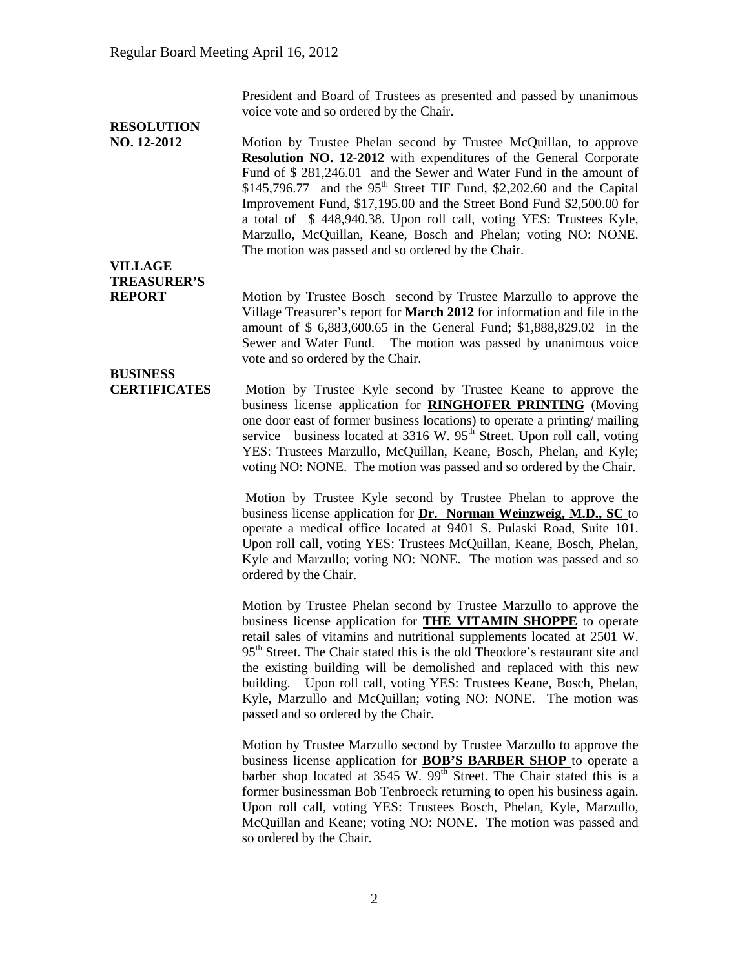President and Board of Trustees as presented and passed by unanimous voice vote and so ordered by the Chair.

# **RESOLUTION**

**NO. 12-2012** Motion by Trustee Phelan second by Trustee McQuillan, to approve **Resolution NO. 12-2012** with expenditures of the General Corporate Fund of \$ 281,246.01 and the Sewer and Water Fund in the amount of  $$145,796.77$  and the 95<sup>th</sup> Street TIF Fund, \$2,202.60 and the Capital Improvement Fund, \$17,195.00 and the Street Bond Fund \$2,500.00 for a total of \$ 448,940.38. Upon roll call, voting YES: Trustees Kyle, Marzullo, McQuillan, Keane, Bosch and Phelan; voting NO: NONE. The motion was passed and so ordered by the Chair.

# **VILLAGE TREASURER'S**

**REPORT** Motion by Trustee Bosch second by Trustee Marzullo to approve the Village Treasurer's report for **March 2012** for information and file in the amount of \$ 6,883,600.65 in the General Fund; \$1,888,829.02 in the Sewer and Water Fund. The motion was passed by unanimous voice vote and so ordered by the Chair.

**BUSINESS** 

**CERTIFICATES** Motion by Trustee Kyle second by Trustee Keane to approve the business license application for **RINGHOFER PRINTING** (Moving one door east of former business locations) to operate a printing/ mailing service business located at  $3316$  W.  $95<sup>th</sup>$  Street. Upon roll call, voting YES: Trustees Marzullo, McQuillan, Keane, Bosch, Phelan, and Kyle; voting NO: NONE. The motion was passed and so ordered by the Chair.

> Motion by Trustee Kyle second by Trustee Phelan to approve the business license application for **Dr. Norman Weinzweig, M.D., SC** to operate a medical office located at 9401 S. Pulaski Road, Suite 101. Upon roll call, voting YES: Trustees McQuillan, Keane, Bosch, Phelan, Kyle and Marzullo; voting NO: NONE. The motion was passed and so ordered by the Chair.

> Motion by Trustee Phelan second by Trustee Marzullo to approve the business license application for **THE VITAMIN SHOPPE** to operate retail sales of vitamins and nutritional supplements located at 2501 W. 95<sup>th</sup> Street. The Chair stated this is the old Theodore's restaurant site and the existing building will be demolished and replaced with this new building. Upon roll call, voting YES: Trustees Keane, Bosch, Phelan, Kyle, Marzullo and McQuillan; voting NO: NONE. The motion was passed and so ordered by the Chair.

> Motion by Trustee Marzullo second by Trustee Marzullo to approve the business license application for **BOB'S BARBER SHOP** to operate a barber shop located at 3545 W. 99<sup>th</sup> Street. The Chair stated this is a former businessman Bob Tenbroeck returning to open his business again. Upon roll call, voting YES: Trustees Bosch, Phelan, Kyle, Marzullo, McQuillan and Keane; voting NO: NONE. The motion was passed and so ordered by the Chair.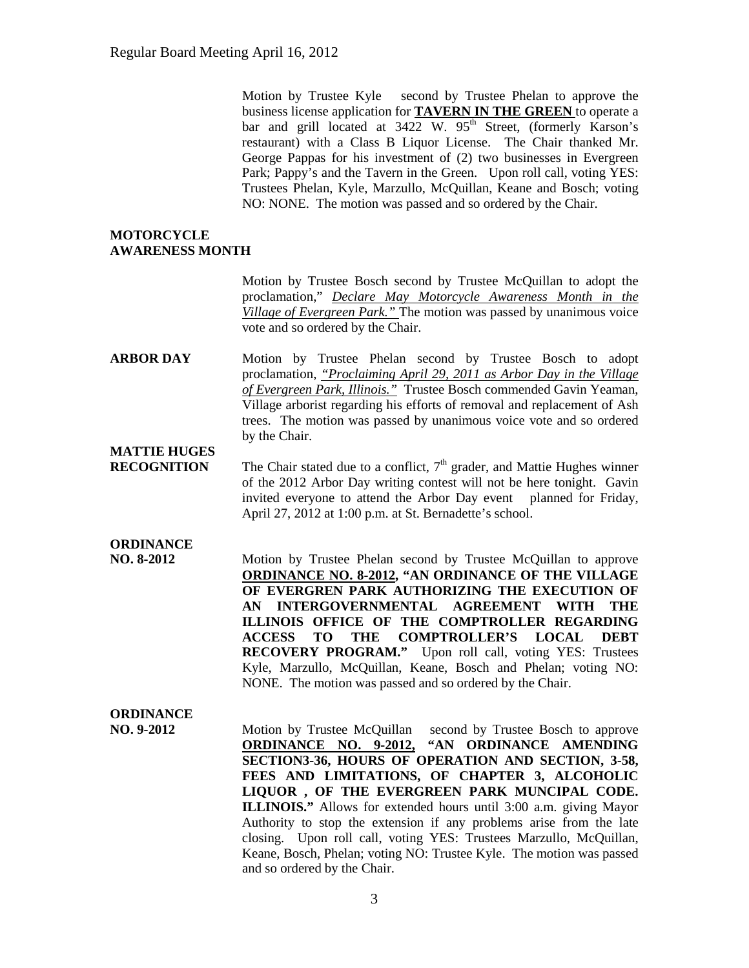Motion by Trustee Kyle second by Trustee Phelan to approve the business license application for **TAVERN IN THE GREEN** to operate a bar and grill located at  $3422$  W.  $95<sup>th</sup>$  Street, (formerly Karson's restaurant) with a Class B Liquor License. The Chair thanked Mr. George Pappas for his investment of (2) two businesses in Evergreen Park; Pappy's and the Tavern in the Green. Upon roll call, voting YES: Trustees Phelan, Kyle, Marzullo, McQuillan, Keane and Bosch; voting NO: NONE. The motion was passed and so ordered by the Chair.

#### **MOTORCYCLE AWARENESS MONTH**

Motion by Trustee Bosch second by Trustee McQuillan to adopt the proclamation," *Declare May Motorcycle Awareness Month in the Village of Evergreen Park."* The motion was passed by unanimous voice vote and so ordered by the Chair.

**ARBOR DAY** Motion by Trustee Phelan second by Trustee Bosch to adopt proclamation, *"Proclaiming April 29, 2011 as Arbor Day in the Village of Evergreen Park, Illinois."* Trustee Bosch commended Gavin Yeaman, Village arborist regarding his efforts of removal and replacement of Ash trees. The motion was passed by unanimous voice vote and so ordered by the Chair.

## **MATTIE HUGES**

**RECOGNITION** The Chair stated due to a conflict, 7<sup>th</sup> grader, and Mattie Hughes winner of the 2012 Arbor Day writing contest will not be here tonight. Gavin invited everyone to attend the Arbor Day event planned for Friday, April 27, 2012 at 1:00 p.m. at St. Bernadette's school.

# **ORDINANCE**

**NO. 8-2012** Motion by Trustee Phelan second by Trustee McQuillan to approve **ORDINANCE NO. 8-2012, "AN ORDINANCE OF THE VILLAGE OF EVERGREN PARK AUTHORIZING THE EXECUTION OF AN INTERGOVERNMENTAL AGREEMENT WITH THE ILLINOIS OFFICE OF THE COMPTROLLER REGARDING ACCESS TO THE COMPTROLLER'S LOCAL DEBT RECOVERY PROGRAM."** Upon roll call, voting YES: Trustees Kyle, Marzullo, McQuillan, Keane, Bosch and Phelan; voting NO: NONE. The motion was passed and so ordered by the Chair.

### **ORDINANCE**

**NO. 9-2012** Motion by Trustee McQuillan second by Trustee Bosch to approve **ORDINANCE NO. 9-2012, "AN ORDINANCE AMENDING SECTION3-36, HOURS OF OPERATION AND SECTION, 3-58, FEES AND LIMITATIONS, OF CHAPTER 3, ALCOHOLIC LIQUOR , OF THE EVERGREEN PARK MUNCIPAL CODE. ILLINOIS."** Allows for extended hours until 3:00 a.m. giving Mayor Authority to stop the extension if any problems arise from the late closing. Upon roll call, voting YES: Trustees Marzullo, McQuillan, Keane, Bosch, Phelan; voting NO: Trustee Kyle. The motion was passed and so ordered by the Chair.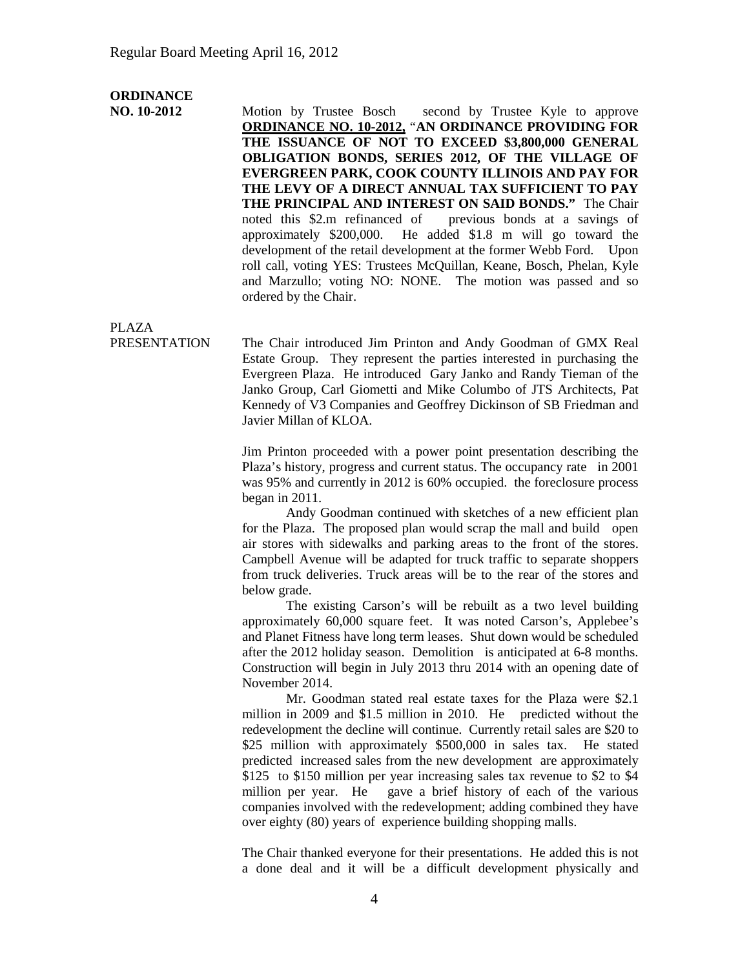### **ORDINANCE**

**NO. 10-2012** Motion by Trustee Bosch second by Trustee Kyle to approve **ORDINANCE NO. 10-2012,** "**AN ORDINANCE PROVIDING FOR THE ISSUANCE OF NOT TO EXCEED \$3,800,000 GENERAL OBLIGATION BONDS, SERIES 2012, OF THE VILLAGE OF EVERGREEN PARK, COOK COUNTY ILLINOIS AND PAY FOR THE LEVY OF A DIRECT ANNUAL TAX SUFFICIENT TO PAY THE PRINCIPAL AND INTEREST ON SAID BONDS."** The Chair noted this \$2.m refinanced of previous bonds at a savings of approximately \$200,000. He added \$1.8 m will go toward the development of the retail development at the former Webb Ford. Upon roll call, voting YES: Trustees McQuillan, Keane, Bosch, Phelan, Kyle and Marzullo; voting NO: NONE. The motion was passed and so ordered by the Chair.

PLAZA

PRESENTATION The Chair introduced Jim Printon and Andy Goodman of GMX Real Estate Group. They represent the parties interested in purchasing the Evergreen Plaza. He introduced Gary Janko and Randy Tieman of the Janko Group, Carl Giometti and Mike Columbo of JTS Architects, Pat Kennedy of V3 Companies and Geoffrey Dickinson of SB Friedman and Javier Millan of KLOA.

> Jim Printon proceeded with a power point presentation describing the Plaza's history, progress and current status. The occupancy rate in 2001 was 95% and currently in 2012 is 60% occupied. the foreclosure process began in 2011.

> Andy Goodman continued with sketches of a new efficient plan for the Plaza. The proposed plan would scrap the mall and build open air stores with sidewalks and parking areas to the front of the stores. Campbell Avenue will be adapted for truck traffic to separate shoppers from truck deliveries. Truck areas will be to the rear of the stores and below grade.

> The existing Carson's will be rebuilt as a two level building approximately 60,000 square feet. It was noted Carson's, Applebee's and Planet Fitness have long term leases. Shut down would be scheduled after the 2012 holiday season. Demolition is anticipated at 6-8 months. Construction will begin in July 2013 thru 2014 with an opening date of November 2014.

> Mr. Goodman stated real estate taxes for the Plaza were \$2.1 million in 2009 and \$1.5 million in 2010. He predicted without the redevelopment the decline will continue. Currently retail sales are \$20 to \$25 million with approximately \$500,000 in sales tax. He stated predicted increased sales from the new development are approximately \$125 to \$150 million per year increasing sales tax revenue to \$2 to \$4 million per year. He gave a brief history of each of the various companies involved with the redevelopment; adding combined they have over eighty (80) years of experience building shopping malls.

> The Chair thanked everyone for their presentations. He added this is not a done deal and it will be a difficult development physically and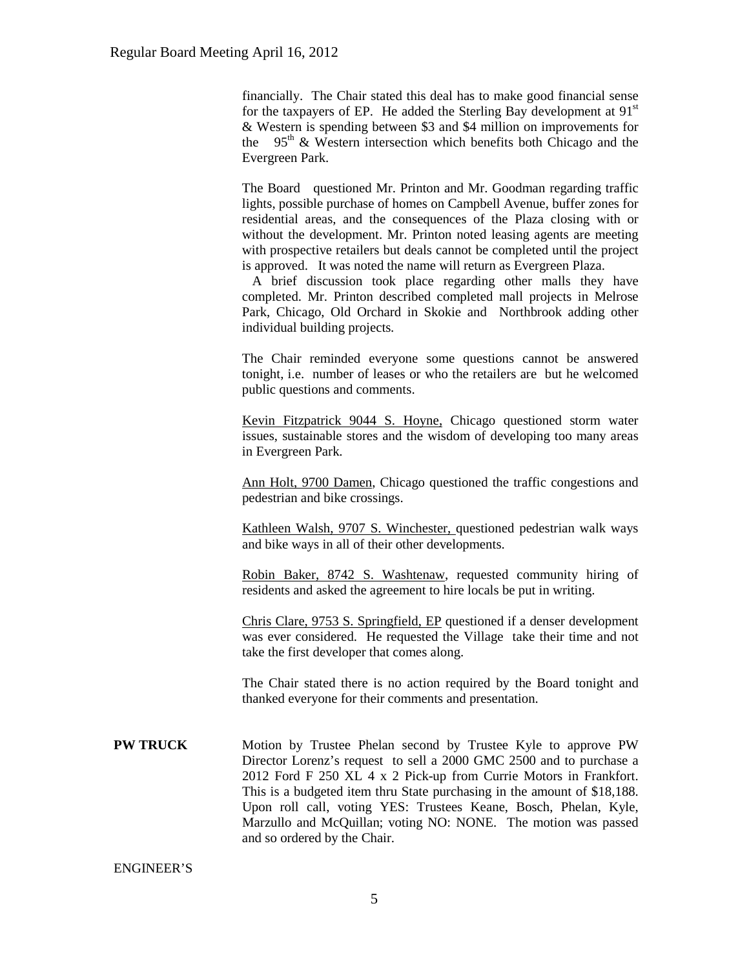financially. The Chair stated this deal has to make good financial sense for the taxpayers of EP. He added the Sterling Bay development at  $91<sup>st</sup>$ & Western is spending between \$3 and \$4 million on improvements for the  $95<sup>th</sup>$  & Western intersection which benefits both Chicago and the Evergreen Park.

The Board questioned Mr. Printon and Mr. Goodman regarding traffic lights, possible purchase of homes on Campbell Avenue, buffer zones for residential areas, and the consequences of the Plaza closing with or without the development. Mr. Printon noted leasing agents are meeting with prospective retailers but deals cannot be completed until the project is approved. It was noted the name will return as Evergreen Plaza.

A brief discussion took place regarding other malls they have completed. Mr. Printon described completed mall projects in Melrose Park, Chicago, Old Orchard in Skokie and Northbrook adding other individual building projects.

The Chair reminded everyone some questions cannot be answered tonight, i.e. number of leases or who the retailers are but he welcomed public questions and comments.

Kevin Fitzpatrick 9044 S. Hoyne, Chicago questioned storm water issues, sustainable stores and the wisdom of developing too many areas in Evergreen Park.

Ann Holt, 9700 Damen, Chicago questioned the traffic congestions and pedestrian and bike crossings.

Kathleen Walsh, 9707 S. Winchester, questioned pedestrian walk ways and bike ways in all of their other developments.

Robin Baker, 8742 S. Washtenaw, requested community hiring of residents and asked the agreement to hire locals be put in writing.

Chris Clare, 9753 S. Springfield, EP questioned if a denser development was ever considered. He requested the Village take their time and not take the first developer that comes along.

The Chair stated there is no action required by the Board tonight and thanked everyone for their comments and presentation.

**PW TRUCK** Motion by Trustee Phelan second by Trustee Kyle to approve PW Director Lorenz's request to sell a 2000 GMC 2500 and to purchase a 2012 Ford F 250 XL 4 x 2 Pick-up from Currie Motors in Frankfort. This is a budgeted item thru State purchasing in the amount of \$18,188. Upon roll call, voting YES: Trustees Keane, Bosch, Phelan, Kyle, Marzullo and McQuillan; voting NO: NONE. The motion was passed and so ordered by the Chair.

ENGINEER'S